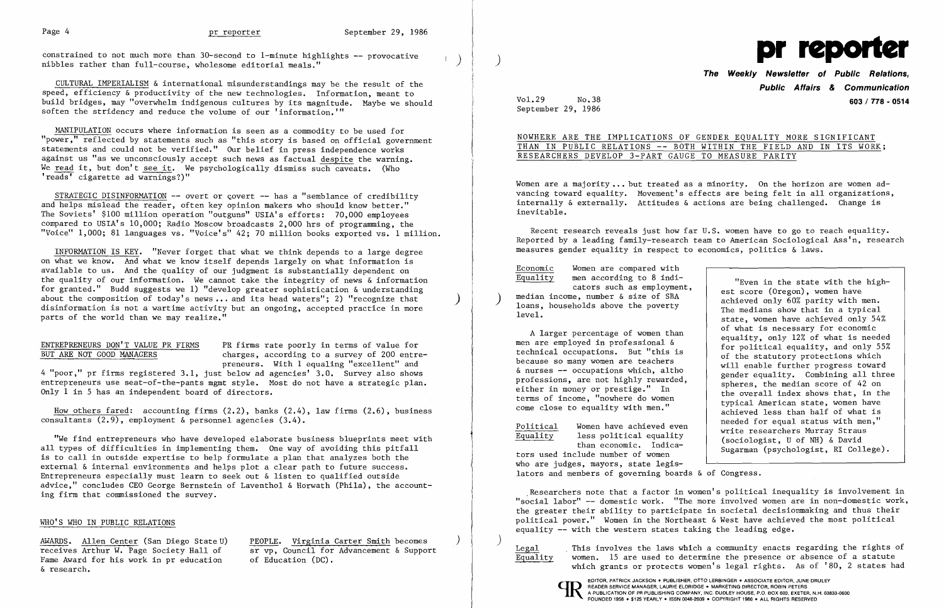constrained to not much more than 30-second to 1-minute highlights -- provocative () ) is nibbles rather than full-course, wholesome editorial meals."



CULTURAL IMPERIALISM & international misunderstandings may be the result of the speed, efficiency & productivity of the new technologies. Information, meant to build bridges, may "overwhelm indigenous cultures by its magnitude. Maybe we should soften the stridency and reduce the volume of our 'information.'"

STRATEGIC DISINFORMATION  $-$ - overt or covert  $-$ - has a "semblance of credibility and helps mislead the reader, often key opinion makers who should know better." The Soviets' \$100 million operation "outguns" USIA's efforts: 70,000 employees compared to USIA's 10,000; Radio Moscow broadcasts 2,000 hrs of programming, the "Voice" 1,000; 81 languages vs. "Voice's" 42; 70 million books exported vs. 1 million.

MANIPULATION occurs where information is seen as a commodity to be used for "power," reflected by statements such as "this story is based on official government statements and could not be verified." Our belief in press independence works against us "as we unconsciously accept such news as factual despite the warning. We read it, but don't see it. We psychologically dismiss such caveats. (Who 'reads' cigarette ad warnings?)"

How others fared: accounting firms (2.2), banks (2.4), law firms (2.6), business consultants (2.9), employment & personnel agencies (3.4).

AWARDS. Allen Center (San Diego State U) receives Arthur W. Page Society Hall of Fame Award for his work in pr education & research.

INFORMATION IS KEY. "Never forget that what we think depends to a large degree on what we know. And what we know itself depends largely on what information is available to us. And the quality of our judgment is substantially dependent on the quality of our information. We cannot take the integrity of news & information for granted." Budd suggests we 1) "develop greater sophistication & understanding about the composition of today's news ••. and its head waters"; 2) "recognize that disinformation is not a wartime activity but an ongoing, accepted practice in more parts of the world than we may realize."

NOWHERE ARE THE IMPLICATIONS OF GENDER EQUALITY MORE SIGNIFICANT THAN IN PUBLIC RELATIONS -- BOTH WITHIN THE FIELD AND IN ITS WORK; RESEARCHERS DEVELOP 3-PART GAUGE TO MEASURE PARITY

Women are a majority... but treated as a minority. On the horizon are women ad vancing toward equality. Movement's effects are being felt in all organizations, internally & externally. Attitudes & actions are being challenged. Change is inevitable.

)

#### ENTREPRENEURS DON'T VALUE PR FIRMS BUT ARE NOT GOOD MANAGERS

PR firms rate poorly in terms of value for charges, according to a survey of 200 entrepreneurs. With 1 equaling "excellent" and

cators such as employment,<br>median income, number & size of SBA loans, households above the poverty level.

4 "poor," pr firms registered 3.1, just below ad agencies' 3.0. Survey also shows entrepreneurs use seat-of-the-pants mgmt style. Most do not have a strategic plan. Only 1 in 5 has an independent board of directors.

"We find entrepreneurs who have developed elaborate business blueprints meet with all types of difficulties in implementing them. One way of avoiding this pitfall is to call in outside expertise to help formulate a plan that analyzes both the external & internal environments and helps plot a clear path to future success. Entrepreneurs especially must learn to seek out & listen to qualified outside advice," concludes CEO George Bernstein of Laventhol & Horwath (Phila), the accounting firm that commissioned the survey.

#### WHO'S WHO IN PUBLIC RELATIONS

Legal This involves the laws which a community enacts regarding the rights of  $\overline{Equality}$  women. 15 are used to determine the presence or absence of a statute which grants or protects women's legal rights. As of '80, 2 states had



PEOPLE. Virginia Carter Smith becomes sr vp, Council for Advancement & Support of Education (DC).

)

Vol.29 No.38 September 29, 1986

### **The Weekly Newsletter of Public Relations, Public Affairs & Communication 603 / 778 - 0514**

Economic Women are compared with Equality men according to 8 indi-

Recent research reveals just how far U.S. women have to go to reach equality. Reported by a leading family-research team to American Sociological Ass'n, research measures gender equality in respect to economics, politics & laws.

A larger percentage of women than men are employed in professional & technical occupations. But "this is because so many women are teachers & nurses -- occupations which, altho professions, are not highly rewarded, either in money or prestige." In terms of income, "nowhere do women come close to equality with men."

Political Women have achieved even Equality less political equality than economic. Indica-

tors used include number of women who are judges, mayors, state legislators and members of governing boards & of Congress.

"Even in the state with the highest score (Oregon), women have achieved only 60% parity with men. The medians show that in a typical state, women have achieved only 54% of what is necessary for economic equality, only 12% of what is needed for political equality, and only 55% of the statutory protections which will enable further progress toward gender equality. Combining all three spheres, the median score of 42 on the overall index shows that, in the typical American state, women have achieved less than half of what is needed for equal status with men," write researchers Murray Straus (sociologist, U of NH) & David Sugarman (psychologist, RI College).

.Researchers note that a factor in women's political inequality is involvement in "social labor" -- domestic work. "The more involved women are in non-domestic work, the greater their ability to participate in societal decisionmaking and thus their political power." Women in the Northeast & West have achieved the most political equality -- with the western states taking the leading edge.

EDITOR. PATRICK JACKSON' PUBLISHER, OTTO LERBINGER • ASSOCIATE EDITOR, JUNE DRULEY an READER SERVICE MANAGER, LAURIE ELDRIDGE' MARKETING DIRECTOR, ROBIN PETERS